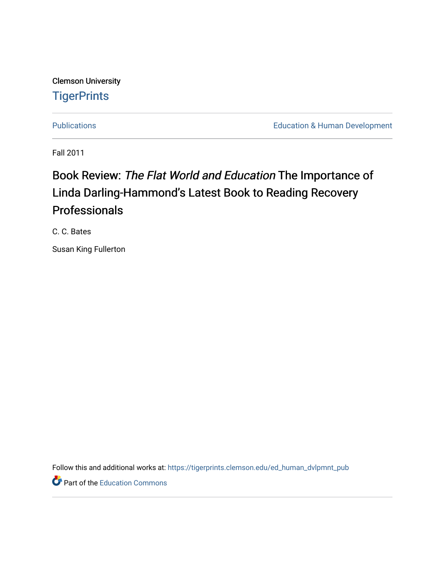Clemson University **TigerPrints** 

[Publications](https://tigerprints.clemson.edu/ed_human_dvlpmnt_pub) **Education & Human Development** 

Fall 2011

## Book Review: The Flat World and Education The Importance of Linda Darling-Hammond's Latest Book to Reading Recovery Professionals

C. C. Bates

Susan King Fullerton

Follow this and additional works at: [https://tigerprints.clemson.edu/ed\\_human\\_dvlpmnt\\_pub](https://tigerprints.clemson.edu/ed_human_dvlpmnt_pub?utm_source=tigerprints.clemson.edu%2Fed_human_dvlpmnt_pub%2F11&utm_medium=PDF&utm_campaign=PDFCoverPages) 

**P** Part of the [Education Commons](http://network.bepress.com/hgg/discipline/784?utm_source=tigerprints.clemson.edu%2Fed_human_dvlpmnt_pub%2F11&utm_medium=PDF&utm_campaign=PDFCoverPages)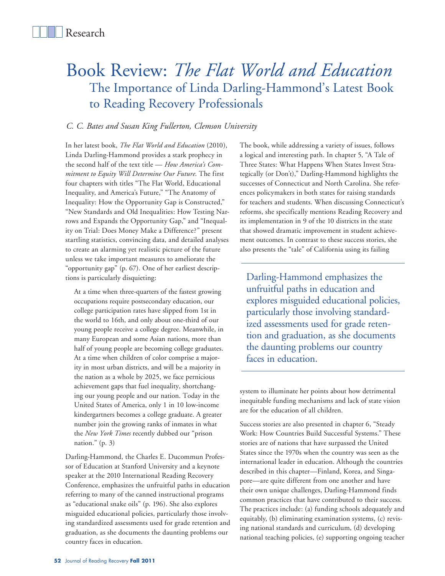# Book Review: *The Flat World and Education* The Importance of Linda Darling-Hammond's Latest Book to Reading Recovery Professionals

### *C. C. Bates and Susan King Fullerton, Clemson University*

In her latest book, *The Flat World and Education* (2010), Linda Darling-Hammond provides a stark prophecy in the second half of the text title — *How America's Commitment to Equity Will Determine Our Future*. The first four chapters with titles "The Flat World, Educational Inequality, and America's Future," "The Anatomy of Inequality: How the Opportunity Gap is Constructed," "New Standards and Old Inequalities: How Testing Narrows and Expands the Opportunity Gap," and "Inequality on Trial: Does Money Make a Difference?" present startling statistics, convincing data, and detailed analyses to create an alarming yet realistic picture of the future unless we take important measures to ameliorate the "opportunity gap" (p. 67). One of her earliest descriptions is particularly disquieting:

At a time when three-quarters of the fastest growing occupations require postsecondary education, our college participation rates have slipped from 1st in the world to 16th, and only about one-third of our young people receive a college degree. Meanwhile, in many European and some Asian nations, more than half of young people are becoming college graduates. At a time when children of color comprise a majority in most urban districts, and will be a majority in the nation as a whole by 2025, we face pernicious achievement gaps that fuel inequality, shortchanging our young people and our nation. Today in the United States of America, only 1 in 10 low-income kindergartners becomes a college graduate. A greater number join the growing ranks of inmates in what the *New York Times* recently dubbed our "prison nation." (p. 3)

Darling-Hammond, the Charles E. Ducommun Professor of Education at Stanford University and a keynote speaker at the 2010 International Reading Recovery Conference, emphasizes the unfruitful paths in education referring to many of the canned instructional programs as "educational snake oils" (p. 196). She also explores misguided educational policies, particularly those involving standardized assessments used for grade retention and graduation, as she documents the daunting problems our country faces in education.

The book, while addressing a variety of issues, follows a logical and interesting path. In chapter 5, "A Tale of Three States: What Happens When States Invest Strategically (or Don't)," Darling-Hammond highlights the successes of Connecticut and North Carolina. She references policymakers in both states for raising standards for teachers and students. When discussing Connecticut's reforms, she specifically mentions Reading Recovery and its implementation in 9 of the 10 districts in the state that showed dramatic improvement in student achievement outcomes. In contrast to these success stories, she also presents the "tale" of California using its failing

Darling-Hammond emphasizes the unfruitful paths in education and explores misguided educational policies, particularly those involving standardized assessments used for grade retention and graduation, as she documents the daunting problems our country faces in education.

system to illuminate her points about how detrimental inequitable funding mechanisms and lack of state vision are for the education of all children.

Success stories are also presented in chapter 6, "Steady Work: How Countries Build Successful Systems." These stories are of nations that have surpassed the United States since the 1970s when the country was seen as the international leader in education. Although the countries described in this chapter—Finland, Korea, and Singapore—are quite different from one another and have their own unique challenges, Darling-Hammond finds common practices that have contributed to their success. The practices include: (a) funding schools adequately and equitably, (b) eliminating examination systems, (c) revising national standards and curriculum, (d) developing national teaching policies, (e) supporting ongoing teacher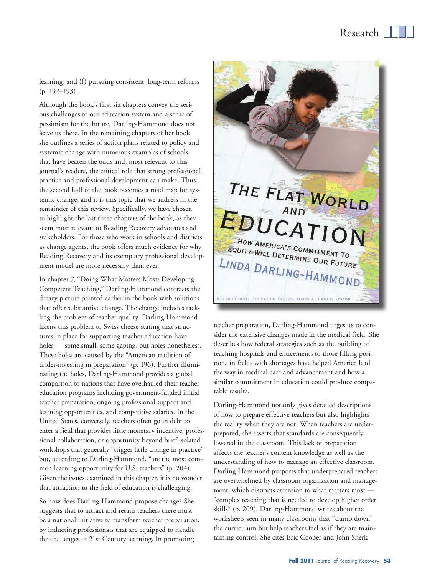learning, and (f) pursuing consistent, long-term reforms (p. 192–193).

Although the book's first six chapters convey the serious challenges to our education system and a sense of pessimism for the future, Darling-Hammond does not leave us there. In the remaining chapters of her book she outlines a series of action plans related to policy and systemic change with numerous examples of schools that have beaten the odds and, most relevant to this journal's readers, the critical role that strong professional practice and professional development can make. Thus, the second half of the book becomes a road map for systemic change, and it is this topic that we address in the remainder of this review. Specifically, we have chosen to highlight the last three chapters of the book, as they seem most relevant to Reading Recovery advocates and stakeholders. For those who work in schools and districts as change agents, the book offers much evidence for why Reading Recovery and its exemplary professional development model are more necessary than ever.

In chapter 7, "Doing What Matters Most: Developing Competent Teaching," Darling-Hammond contrasts the dreary picture painted earlier in the book with solutions that offer substantive change. The change includes tackling the problem of teacher quality. Darling-Hammond likens this problem to Swiss cheese stating that structures in place for supporting teacher education have holes — some small, some gaping, but holes nonetheless. These holes are caused by the "American tradition of under-investing in preparation" (p. 196). Further illuminating the holes, Darling-Hammond provides a global comparison to nations that have overhauled their teacher education programs including government-funded initial teacher preparation, ongoing professional support and learning opportunities, and competitive salaries. In the United States, conversely, teachers often go in debt to enter a field that provides little monetary incentive, professional collaboration, or opportunity beyond brief isolated workshops that generally "trigger little change in practice" but, according to Darling-Hammond, "are the most common learning opportunity for U.S. teachers" (p. 204). Given the issues examined in this chapter, it is no wonder that attraction to the field of education is challenging.

So how does Darling-Hammond propose change? She suggests that to attract and retain teachers there must be a national initiative to transform teacher preparation, by inducting professionals that are equipped to handle the challenges of 21st Century learning. In promoting



teacher preparation, Darling-Hammond urges us to consider the extensive changes made in the medical field. She describes how federal strategies such as the building of teaching hospitals and enticements to those filling positions in fields with shortages have helped America lead the way in medical care and advancement and how a similar commitment in education could produce comparable results.

Darling-Hammond not only gives detailed descriptions of how to prepare effective teachers but also highlights the reality when they are not. When teachers are underprepared, she asserts that standards are consequently lowered in the classroom. This lack of preparation affects the teacher's content knowledge as well as the understanding of how to manage an effective classroom. Darling-Hammond purports that underprepared teachers are overwhelmed by classroom organization and management, which distracts attention to what matters most — "complex teaching that is needed to develop higher order skills" (p. 209). Darling-Hammond writes about the worksheets seen in many classrooms that "dumb down" the curriculum but help teachers feel as if they are maintaining control. She cites Eric Cooper and John Sherk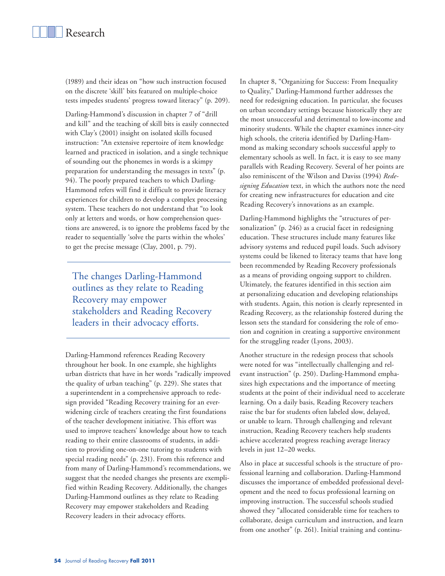(1989) and their ideas on "how such instruction focused on the discrete 'skill' bits featured on multiple-choice tests impedes students' progress toward literacy" (p. 209).

Darling-Hammond's discussion in chapter 7 of "drill and kill" and the teaching of skill bits is easily connected with Clay's (2001) insight on isolated skills focused instruction: "An extensive repertoire of item knowledge learned and practiced in isolation, and a single technique of sounding out the phonemes in words is a skimpy preparation for understanding the messages in texts" (p. 94). The poorly prepared teachers to which Darling-Hammond refers will find it difficult to provide literacy experiences for children to develop a complex processing system. These teachers do not understand that "to look only at letters and words, or how comprehension questions are answered, is to ignore the problems faced by the reader to sequentially 'solve the parts within the wholes' to get the precise message (Clay, 2001, p. 79).

The changes Darling-Hammond outlines as they relate to Reading Recovery may empower stakeholders and Reading Recovery leaders in their advocacy efforts.

Darling-Hammond references Reading Recovery throughout her book. In one example, she highlights urban districts that have in her words "radically improved the quality of urban teaching" (p. 229). She states that a superintendent in a comprehensive approach to redesign provided "Reading Recovery training for an everwidening circle of teachers creating the first foundations of the teacher development initiative. This effort was used to improve teachers' knowledge about how to teach reading to their entire classrooms of students, in addition to providing one-on-one tutoring to students with special reading needs" (p. 231). From this reference and from many of Darling-Hammond's recommendations, we suggest that the needed changes she presents are exemplified within Reading Recovery. Additionally, the changes Darling-Hammond outlines as they relate to Reading Recovery may empower stakeholders and Reading Recovery leaders in their advocacy efforts.

In chapter 8, "Organizing for Success: From Inequality to Quality," Darling-Hammond further addresses the need for redesigning education. In particular, she focuses on urban secondary settings because historically they are the most unsuccessful and detrimental to low-income and minority students. While the chapter examines inner-city high schools, the criteria identified by Darling-Hammond as making secondary schools successful apply to elementary schools as well. In fact, it is easy to see many parallels with Reading Recovery. Several of her points are also reminiscent of the Wilson and Daviss (1994) *Redesigning Education* text, in which the authors note the need for creating new infrastructures for education and cite Reading Recovery's innovations as an example.

Darling-Hammond highlights the "structures of personalization" (p. 246) as a crucial facet in redesigning education. These structures include many features like advisory systems and reduced pupil loads. Such advisory systems could be likened to literacy teams that have long been recommended by Reading Recovery professionals as a means of providing ongoing support to children. Ultimately, the features identified in this section aim at personalizing education and developing relationships with students. Again, this notion is clearly represented in Reading Recovery, as the relationship fostered during the lesson sets the standard for considering the role of emotion and cognition in creating a supportive environment for the struggling reader (Lyons, 2003).

Another structure in the redesign process that schools were noted for was "intellectually challenging and relevant instruction" (p. 250). Darling-Hammond emphasizes high expectations and the importance of meeting students at the point of their individual need to accelerate learning. On a daily basis, Reading Recovery teachers raise the bar for students often labeled slow, delayed, or unable to learn. Through challenging and relevant instruction, Reading Recovery teachers help students achieve accelerated progress reaching average literacy levels in just 12–20 weeks.

Also in place at successful schools is the structure of professional learning and collaboration. Darling-Hammond discusses the importance of embedded professional development and the need to focus professional learning on improving instruction. The successful schools studied showed they "allocated considerable time for teachers to collaborate, design curriculum and instruction, and learn from one another" (p. 261). Initial training and continu